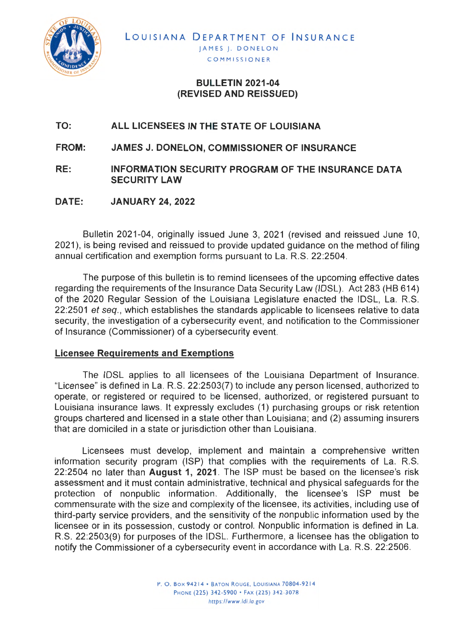

# **BULLETIN 2021-04 (REVISED AND REISSUED}**

#### **TO: ALL LICENSEES IN THE STATE OF LOUISIANA**

**FROM: JAMES J. DONELON, COMMISSIONER OF INSURANCE** 

**RE: INFORMATION SECURITY PROGRAM OF THE INSURANCE DATA SECURITY LAW** 

**DATE: JANUARY 24, 2022** 

Bulletin 2021 -04, originally issued June 3, 2021 (revised and reissued June 10, 2021), is being revised and reissued to provide updated guidance on the method of filing annual certification and exemption forms pursuant to La. R.S. 22:2504.

The purpose of this bulletin is to remind licensees of the upcoming effective dates regarding the requirements of the Insurance Data Security Law (IDSL). Act 283 (HB 614) of the 2020 Regular Session of the Louisiana Legislature enacted the IDSL, La. R.S. 22:2501 et seq., which establishes the standards applicable to licensees relative to data security, the investigation of a cybersecurity event, and notification to the Commissioner of Insurance (Commissioner) of a cybersecurity event.

## **Licensee Requirements and Exemptions**

The IDSL applies to all licensees of the Louisiana Department of Insurance. "Licensee" is defined in La. R.S. 22:2503(7) to include any person licensed, authorized to operate, or registered or required to be licensed, authorized, or registered pursuant to Louisiana insurance laws. It expressly excludes (1) purchasing groups or risk retention groups chartered and licensed in a state other than Louisiana; and (2) assuming insurers that are domiciled in a state or jurisdiction other than Louisiana.

Licensees must develop, implement and maintain a comprehensive written information security program (ISP) that complies with the requirements of La. R.S. 22:2504 no later than **August 1, 2021 .** The ISP must be based on the licensee's risk assessment and it must contain administrative, technical and physical safeguards for the protection of nonpublic information. Additionally, the licensee's ISP must be commensurate with the size and complexity of the licensee, its activities, including use of third-party service providers, and the sensitivity of the nonpublic information used by the licensee or in its possession, custody or control. Nonpublic information is defined in La. R.S. 22:2503(9) for purposes of the IDSL. Furthermore, a licensee has the obligation to notify the Commissioner of a cybersecurity event in accordance with La. R.S. 22:2506.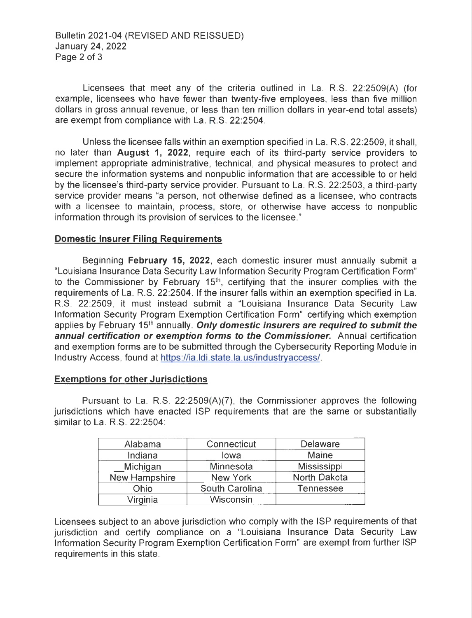Bulletin 2021-04 (REVISED AND REISSUED) January 24, 2022 Page 2 of 3

Licensees that meet any of the criteria outlined in La. R.S. 22:2509(A) (for example, licensees who have fewer than twenty-five employees, less than five million dollars in gross annual revenue, or less than ten million dollars in year-end total assets) are exempt from compliance with La. R.S. 22:2504.

Unless the licensee falls within an exemption specified in La. R.S. 22:2509, it shall, no later than **August 1, 2022,** require each of its third-party service providers to implement appropriate administrative, technical, and physical measures to protect and secure the information systems and nonpublic information that are accessible to or held by the licensee's third-party service provider. Pursuant to La. R.S. 22:2503, a third-party service provider means "a person, not otherwise defined as a licensee, who contracts with a licensee to maintain, process, store, or otherwise have access to nonpublic information through its provision of services to the licensee."

### **Domestic Insurer Filing Requirements**

Beginning **February 15, 2022,** each domestic insurer must annually submit a "Louisiana Insurance Data Security Law Information Security Program Certification Form" to the Commissioner by February  $15<sup>th</sup>$ , certifying that the insurer complies with the requirements of La. R.S. 22:2504. If the insurer falls within an exemption specified in La. R.S. 22:2509, it must instead submit a "Louisiana Insurance Data Security Law Information Security Program Exemption Certification Form" certifying which exemption applies by February 15<sup>th</sup> annually. **Only domestic insurers are required to submit the annual certification or exemption forms to the Commissioner.** Annual certification and exemption forms are [to be submitted through the Cybersecuri](https://ia.ldi.state.la.us/industryaccess)ty Reporting Module in Industry Access, found at https://ia.ldi.state.la.us/industryaccess/.

#### **Exemptions for other Jurisdictions**

Pursuant to La. R.S. 22:2509(A)(7), the Commissioner approves the following jurisdictions which have enacted ISP requirements that are the same or substantially similar to La. R.S. 22:2504:

| Alabama       | Connecticut      | Delaware     |
|---------------|------------------|--------------|
| Indiana       | lowa             | Maine        |
| Michigan      | Minnesota        | Mississippi  |
| New Hampshire | <b>New York</b>  | North Dakota |
| Ohio          | South Carolina   | Tennessee    |
| Virginia      | <b>Wisconsin</b> |              |

Licensees subject to an above jurisdiction who comply with the ISP requirements of that jurisdiction and certify compliance on a "Louisiana Insurance Data Security Law Information Security Program Exemption Certification Form" are exempt from further ISP requirements in this state.